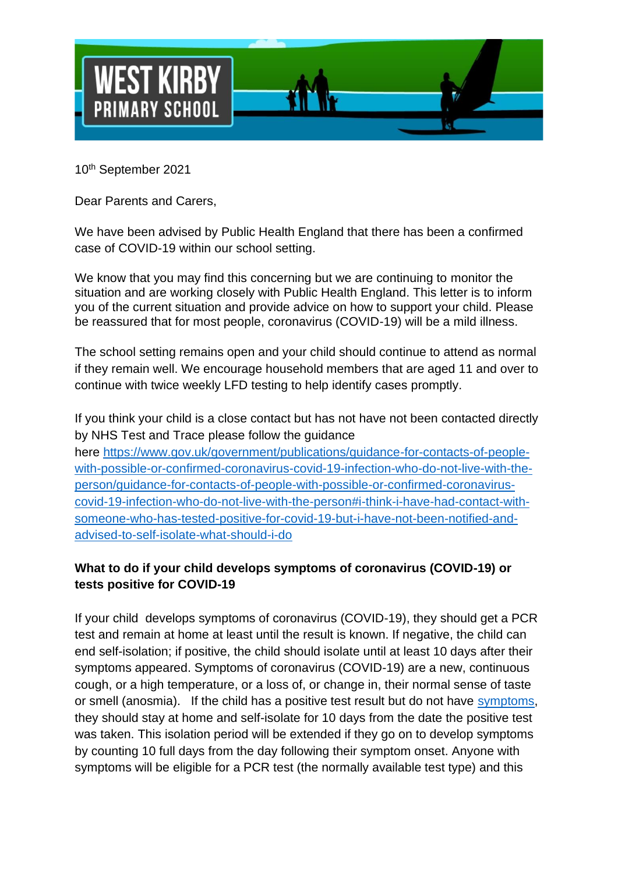

10th September 2021

Dear Parents and Carers,

We have been advised by Public Health England that there has been a confirmed case of COVID-19 within our school setting.

We know that you may find this concerning but we are continuing to monitor the situation and are working closely with Public Health England. This letter is to inform you of the current situation and provide advice on how to support your child. Please be reassured that for most people, coronavirus (COVID-19) will be a mild illness.

The school setting remains open and your child should continue to attend as normal if they remain well. We encourage household members that are aged 11 and over to continue with twice weekly LFD testing to help identify cases promptly.

If you think your child is a close contact but has not have not been contacted directly by NHS Test and Trace please follow the guidance

here [https://www.gov.uk/government/publications/guidance-for-contacts-of-people](https://www.gov.uk/government/publications/guidance-for-contacts-of-people-with-possible-or-confirmed-coronavirus-covid-19-infection-who-do-not-live-with-the-person/guidance-for-contacts-of-people-with-possible-or-confirmed-coronavirus-covid-19-infection-who-do-not-live-with-the-person#i-think-i-have-had-contact-with-someone-who-has-tested-positive-for-covid-19-but-i-have-not-been-notified-and-advised-to-self-isolate-what-should-i-do)[with-possible-or-confirmed-coronavirus-covid-19-infection-who-do-not-live-with-the](https://www.gov.uk/government/publications/guidance-for-contacts-of-people-with-possible-or-confirmed-coronavirus-covid-19-infection-who-do-not-live-with-the-person/guidance-for-contacts-of-people-with-possible-or-confirmed-coronavirus-covid-19-infection-who-do-not-live-with-the-person#i-think-i-have-had-contact-with-someone-who-has-tested-positive-for-covid-19-but-i-have-not-been-notified-and-advised-to-self-isolate-what-should-i-do)[person/guidance-for-contacts-of-people-with-possible-or-confirmed-coronavirus](https://www.gov.uk/government/publications/guidance-for-contacts-of-people-with-possible-or-confirmed-coronavirus-covid-19-infection-who-do-not-live-with-the-person/guidance-for-contacts-of-people-with-possible-or-confirmed-coronavirus-covid-19-infection-who-do-not-live-with-the-person#i-think-i-have-had-contact-with-someone-who-has-tested-positive-for-covid-19-but-i-have-not-been-notified-and-advised-to-self-isolate-what-should-i-do)[covid-19-infection-who-do-not-live-with-the-person#i-think-i-have-had-contact-with](https://www.gov.uk/government/publications/guidance-for-contacts-of-people-with-possible-or-confirmed-coronavirus-covid-19-infection-who-do-not-live-with-the-person/guidance-for-contacts-of-people-with-possible-or-confirmed-coronavirus-covid-19-infection-who-do-not-live-with-the-person#i-think-i-have-had-contact-with-someone-who-has-tested-positive-for-covid-19-but-i-have-not-been-notified-and-advised-to-self-isolate-what-should-i-do)[someone-who-has-tested-positive-for-covid-19-but-i-have-not-been-notified-and](https://www.gov.uk/government/publications/guidance-for-contacts-of-people-with-possible-or-confirmed-coronavirus-covid-19-infection-who-do-not-live-with-the-person/guidance-for-contacts-of-people-with-possible-or-confirmed-coronavirus-covid-19-infection-who-do-not-live-with-the-person#i-think-i-have-had-contact-with-someone-who-has-tested-positive-for-covid-19-but-i-have-not-been-notified-and-advised-to-self-isolate-what-should-i-do)[advised-to-self-isolate-what-should-i-do](https://www.gov.uk/government/publications/guidance-for-contacts-of-people-with-possible-or-confirmed-coronavirus-covid-19-infection-who-do-not-live-with-the-person/guidance-for-contacts-of-people-with-possible-or-confirmed-coronavirus-covid-19-infection-who-do-not-live-with-the-person#i-think-i-have-had-contact-with-someone-who-has-tested-positive-for-covid-19-but-i-have-not-been-notified-and-advised-to-self-isolate-what-should-i-do) 

# **What to do if your child develops symptoms of coronavirus (COVID-19) or tests positive for COVID-19**

If your child develops symptoms of coronavirus (COVID-19), they should get a PCR test and remain at home at least until the result is known. If negative, the child can end self-isolation; if positive, the child should isolate until at least 10 days after their symptoms appeared. Symptoms of coronavirus (COVID-19) are a new, continuous cough, or a high temperature, or a loss of, or change in, their normal sense of taste or smell (anosmia). If the child has a positive test result but do not have [symptoms,](https://www.gov.uk/government/publications/covid-19-stay-at-home-guidance/stay-at-home-guidance-for-households-with-possible-coronavirus-covid-19-infection#symptoms) they should stay at home and self-isolate for 10 days from the date the positive test was taken. This isolation period will be extended if they go on to develop symptoms by counting 10 full days from the day following their symptom onset. Anyone with symptoms will be eligible for a PCR test (the normally available test type) and this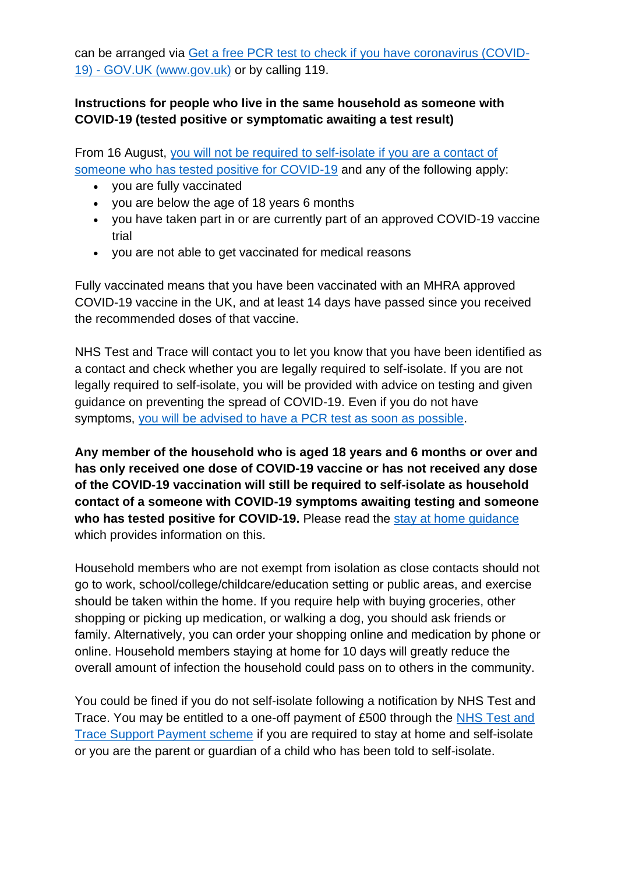can be arranged via [Get a free PCR test to check if you have coronavirus \(COVID-](https://www.gov.uk/get-coronavirus-test)19) - [GOV.UK \(www.gov.uk\)](https://www.gov.uk/get-coronavirus-test) or by calling 119.

### **Instructions for people who live in the same household as someone with COVID-19 (tested positive or symptomatic awaiting a test result)**

From 16 August, [you will not be required to self-isolate if you are a contact of](https://www.gov.uk/government/publications/covid-19-stay-at-home-guidance/stay-at-home-guidance-for-households-with-possible-coronavirus-covid-19-infection#exempt)  [someone who has tested positive for COVID-19](https://www.gov.uk/government/publications/covid-19-stay-at-home-guidance/stay-at-home-guidance-for-households-with-possible-coronavirus-covid-19-infection#exempt) and any of the following apply:

- you are fully vaccinated
- you are below the age of 18 years 6 months
- you have taken part in or are currently part of an approved COVID-19 vaccine trial
- you are not able to get vaccinated for medical reasons

Fully vaccinated means that you have been vaccinated with an MHRA approved COVID-19 vaccine in the UK, and at least 14 days have passed since you received the recommended doses of that vaccine.

NHS Test and Trace will contact you to let you know that you have been identified as a contact and check whether you are legally required to self-isolate. If you are not legally required to self-isolate, you will be provided with advice on testing and given guidance on preventing the spread of COVID-19. Even if you do not have symptoms, [you will be advised to have a](https://www.gov.uk/government/publications/covid-19-stay-at-home-guidance/stay-at-home-guidance-for-households-with-possible-coronavirus-covid-19-infection#PCR) PCR test as soon as possible.

**Any member of the household who is aged 18 years and 6 months or over and has only received one dose of COVID-19 vaccine or has not received any dose of the COVID-19 vaccination will still be required to self-isolate as household contact of a someone with COVID-19 symptoms awaiting testing and someone who has tested positive for COVID-19.** Please read the [stay at home guidance](https://www.gov.uk/government/publications/covid-19-stay-at-home-guidance) which provides information on this.

Household members who are not exempt from isolation as close contacts should not go to work, school/college/childcare/education setting or public areas, and exercise should be taken within the home. If you require help with buying groceries, other shopping or picking up medication, or walking a dog, you should ask friends or family. Alternatively, you can order your shopping online and medication by phone or online. Household members staying at home for 10 days will greatly reduce the overall amount of infection the household could pass on to others in the community.

You could be fined if you do not self-isolate following a notification by NHS Test and Trace. You may be entitled to a one-off payment of £500 through the [NHS Test and](https://www.gov.uk/government/publications/test-and-trace-support-payment-scheme-claiming-financial-support/claiming-financial-support-under-the-test-and-trace-support-payment-scheme)  [Trace Support Payment scheme](https://www.gov.uk/government/publications/test-and-trace-support-payment-scheme-claiming-financial-support/claiming-financial-support-under-the-test-and-trace-support-payment-scheme) if you are required to stay at home and self-isolate or you are the parent or guardian of a child who has been told to self-isolate.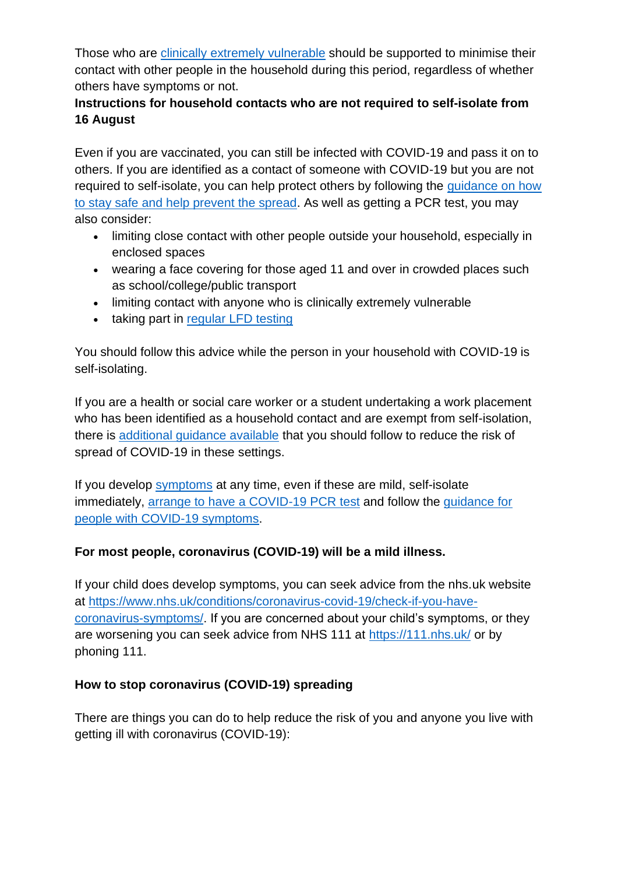Those who are [clinically extremely vulnerable](https://www.gov.uk/government/publications/guidance-on-shielding-and-protecting-extremely-vulnerable-persons-from-covid-19/guidance-on-shielding-and-protecting-extremely-vulnerable-persons-from-covid-19) should be supported to minimise their contact with other people in the household during this period, regardless of whether others have symptoms or not.

# **Instructions for household contacts who are not required to self-isolate from 16 August**

Even if you are vaccinated, you can still be infected with COVID-19 and pass it on to others. If you are identified as a contact of someone with COVID-19 but you are not required to self-isolate, you can help protect others by following the [guidance on how](https://www.gov.uk/guidance/covid-19-coronavirus-restrictions-what-you-can-and-cannot-do#keeping-yourself-and-others-safe)  [to stay safe and help prevent the spread.](https://www.gov.uk/guidance/covid-19-coronavirus-restrictions-what-you-can-and-cannot-do#keeping-yourself-and-others-safe) As well as getting a PCR test, you may also consider:

- limiting close contact with other people outside your household, especially in enclosed spaces
- wearing a face covering for those aged 11 and over in crowded places such as school/college/public transport
- limiting contact with anyone who is clinically extremely vulnerable
- taking part in [regular](https://www.gov.uk/order-coronavirus-rapid-lateral-flow-tests) LFD testing

You should follow this advice while the person in your household with COVID-19 is self-isolating.

If you are a health or social care worker or a student undertaking a work placement who has been identified as a household contact and are exempt from self-isolation, there is [additional guidance available](https://www.gov.uk/government/publications/covid-19-management-of-exposed-healthcare-workers-and-patients-in-hospital-settings/covid-19-management-of-exposed-healthcare-workers-and-patients-in-hospital-settings) that you should follow to reduce the risk of spread of COVID-19 in these settings.

If you develop [symptoms](https://www.gov.uk/government/publications/covid-19-stay-at-home-guidance/stay-at-home-guidance-for-households-with-possible-coronavirus-covid-19-infection#symptoms) at any time, even if these are mild, self-isolate immediately, [arrange to have a COVID-19](https://www.gov.uk/get-coronavirus-test) PCR test and follow the [guidance for](https://www.gov.uk/government/publications/covid-19-stay-at-home-guidance/stay-at-home-guidance-for-households-with-possible-coronavirus-covid-19-infection#SymptomsPositiveTest)  [people with COVID-19 symptoms.](https://www.gov.uk/government/publications/covid-19-stay-at-home-guidance/stay-at-home-guidance-for-households-with-possible-coronavirus-covid-19-infection#SymptomsPositiveTest)

# **For most people, coronavirus (COVID-19) will be a mild illness.**

If your child does develop symptoms, you can seek advice from the nhs.uk website at [https://www.nhs.uk/conditions/coronavirus-covid-19/check-if-you-have](https://www.nhs.uk/conditions/coronavirus-covid-19/check-if-you-have-coronavirus-symptoms/)[coronavirus-symptoms/.](https://www.nhs.uk/conditions/coronavirus-covid-19/check-if-you-have-coronavirus-symptoms/) If you are concerned about your child's symptoms, or they are worsening you can seek advice from NHS 111 at<https://111.nhs.uk/> or by phoning 111.

# **How to stop coronavirus (COVID-19) spreading**

There are things you can do to help reduce the risk of you and anyone you live with getting ill with coronavirus (COVID-19):